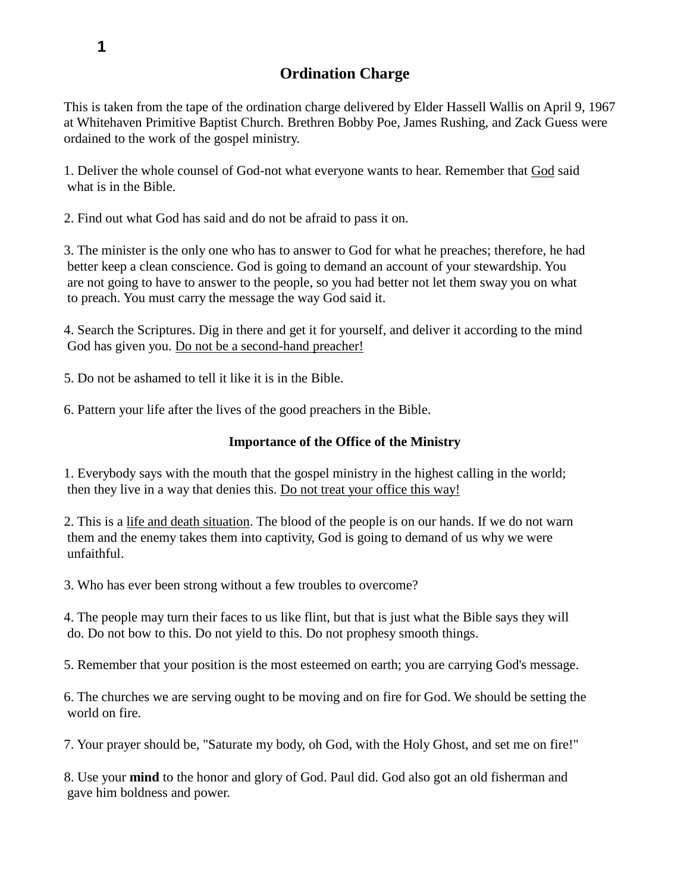# **Ordination Charge**

This is taken from the tape of the ordination charge delivered by Elder Hassell Wallis on April 9, 1967 at Whitehaven Primitive Baptist Church. Brethren Bobby Poe, James Rushing, and Zack Guess were ordained to the work of the gospel ministry.

1. Deliver the whole counsel of God-not what everyone wants to hear. Remember that God said what is in the Bible.

2. Find out what God has said and do not be afraid to pass it on.

3. The minister is the only one who has to answer to God for what he preaches; therefore, he had better keep a clean conscience. God is going to demand an account of your stewardship. You are not going to have to answer to the people, so you had better not let them sway you on what to preach. You must carry the message the way God said it.

4. Search the Scriptures. Dig in there and get it for yourself, and deliver it according to the mind God has given you. Do not be a second-hand preacher!

5. Do not be ashamed to tell it like it is in the Bible.

6. Pattern your life after the lives of the good preachers in the Bible.

#### **Importance of the Office of the Ministry**

1. Everybody says with the mouth that the gospel ministry in the highest calling in the world; then they live in a way that denies this. Do not treat your office this way!

2. This is a life and death situation. The blood of the people is on our hands. If we do not warn them and the enemy takes them into captivity, God is going to demand of us why we were unfaithful.

3. Who has ever been strong without a few troubles to overcome?

4. The people may turn their faces to us like flint, but that is just what the Bible says they will do. Do not bow to this. Do not yield to this. Do not prophesy smooth things.

5. Remember that your position is the most esteemed on earth; you are carrying God's message.

6. The churches we are serving ought to be moving and on fire for God. We should be setting the world on fire.

7. Your prayer should be, "Saturate my body, oh God, with the Holy Ghost, and set me on fire!"

8. Use your **mind** to the honor and glory of God. Paul did. God also got an old fisherman and gave him boldness and power.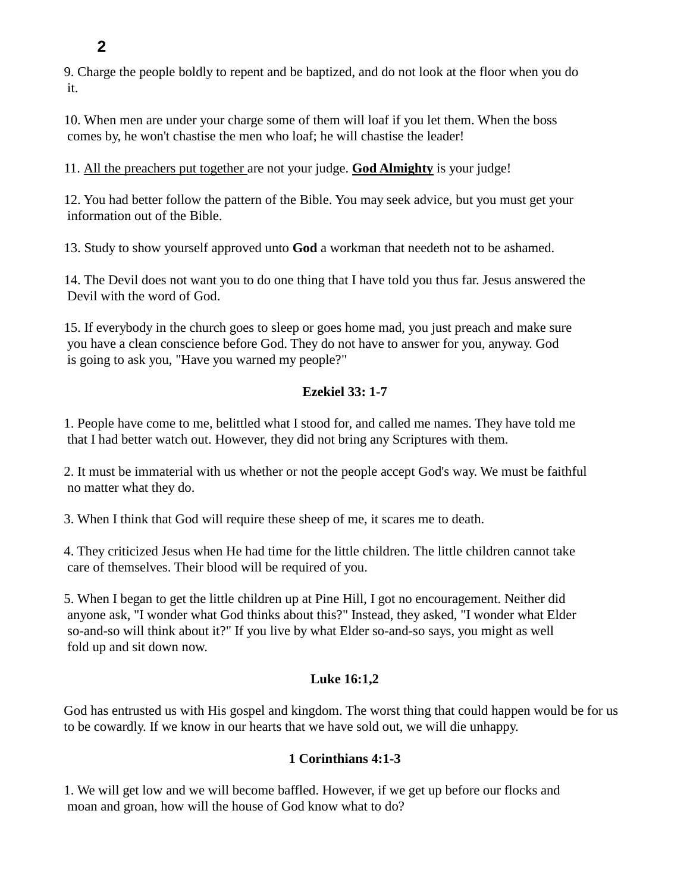**2**

9. Charge the people boldly to repent and be baptized, and do not look at the floor when you do it.

10. When men are under your charge some of them will loaf if you let them. When the boss comes by, he won't chastise the men who loaf; he will chastise the leader!

11. All the preachers put together are not your judge. **God Almighty** is your judge!

12. You had better follow the pattern of the Bible. You may seek advice, but you must get your information out of the Bible.

13. Study to show yourself approved unto **God** a workman that needeth not to be ashamed.

14. The Devil does not want you to do one thing that I have told you thus far. Jesus answered the Devil with the word of God.

15. If everybody in the church goes to sleep or goes home mad, you just preach and make sure you have a clean conscience before God. They do not have to answer for you, anyway. God is going to ask you, "Have you warned my people?"

### **Ezekiel 33: 1-7**

1. People have come to me, belittled what I stood for, and called me names. They have told me that I had better watch out. However, they did not bring any Scriptures with them.

2. It must be immaterial with us whether or not the people accept God's way. We must be faithful no matter what they do.

3. When I think that God will require these sheep of me, it scares me to death.

4. They criticized Jesus when He had time for the little children. The little children cannot take care of themselves. Their blood will be required of you.

5. When I began to get the little children up at Pine Hill, I got no encouragement. Neither did anyone ask, "I wonder what God thinks about this?" Instead, they asked, "I wonder what Elder so-and-so will think about it?" If you live by what Elder so-and-so says, you might as well fold up and sit down now.

### **Luke 16:1,2**

God has entrusted us with His gospel and kingdom. The worst thing that could happen would be for us to be cowardly. If we know in our hearts that we have sold out, we will die unhappy.

## **1 Corinthians 4:1-3**

1. We will get low and we will become baffled. However, if we get up before our flocks and moan and groan, how will the house of God know what to do?